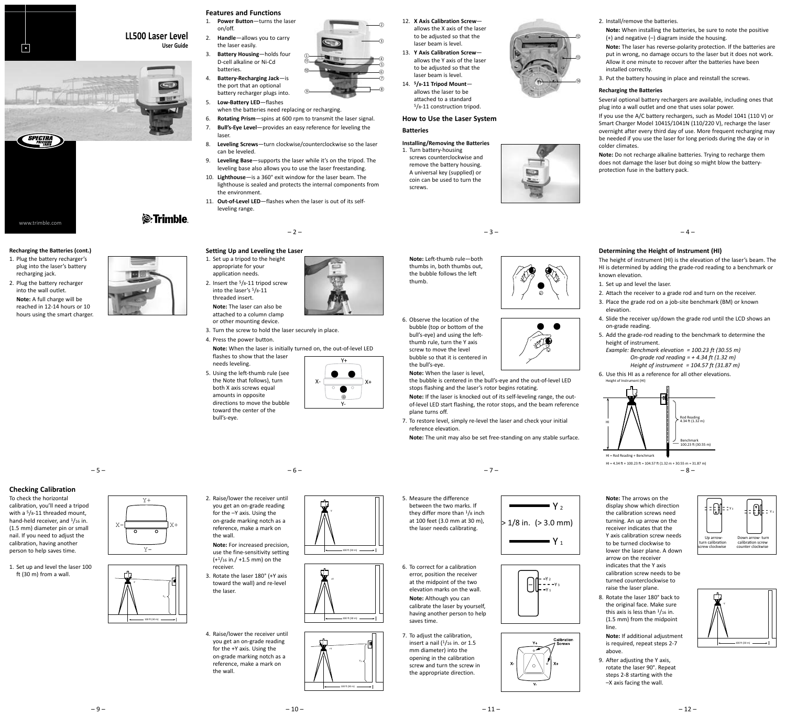

# **LL500 Laser Level User Guide**





- 1. Plug the battery recharger's plug into the laser's battery recharging jack. 2. Plug the battery recharger
- into the wall outlet. **Note:** A full charge will be reached in 12-14 hours or 10 hours using the smart charger.

**Checking Calibration**

1. Set up and level the laser 100 ft (30 m) from a wall.

To check the horizontal calibration, you'll need a tripod with a <sup>5</sup>/8-11 threaded mount, hand-held receiver, and 1/16 in. (1.5 mm) diameter pin or small nail. If you need to adjust the calibration, having another person to help saves time.





*S*-Trimble

- **Features and Functions** 1. **Power Button**—turns the laser
- on/off. 2. **Handle**—allows you to carry the laser easily.
- 3. **Battery Housing**—holds four D-cell alkaline or Ni-Cd batteries.
- 4. **Battery-Recharging Jack**—is the port that an optional battery recharger plugs into. <sup>⑨</sup><sup>⑧</sup>
- 5. **Low-Battery LED**—flashes when the batteries need replacing or recharging.
- Rotating Prism-spins at 600 rpm to transmit the laser signal. 7. **Bull's-Eye Level**—provides an easy reference for leveling the

 ⑩ ⑪  $(1)$ 

- laser. 8. **Leveling Screws**—turn clockwise/counterclockwise so the laser can be leveled.
- 9. **Leveling Base**—supports the laser while it's on the tripod. The leveling base also allows you to use the laser freestanding.
- 10. **Lighthouse**—is a 360° exit window for the laser beam. The lighthouse is sealed and protects the internal components from the environment.
- 11. **Out-of-Level LED**—flashes when the laser is out of its selfleveling range.

# $-2-$

#### **Recharging the Batteries (cont.) Setting Up and Leveling the Laser** 1. Set up a tripod to the height

- appropriate for your application needs. 2. Insert the 5/8-11 tripod screw into the laser's 5/8-11 threaded insert.
	- **Note:** The laser can also be attached to a column clamp or other mounting device.
- 3. Turn the screw to hold the laser securely in place. 4. Press the power button.
- **Note:** When the laser is initially turned on, the out-of-level LED flashes to show that the laser
- needs leveling. 5. Using the left-thumb rule (see the Note that follows), turn both X axis screws equal amounts in opposite directions to move the bubble toward the center of the bull's-eye.



12. **X Axis Calibration Screw** allows the X axis of the laser to be adjusted so that the laser beam is level. 13. **Y Axis Calibration Screw**—

②

③

- allows the Y axis of the laser to be adjusted so that the laser beam is level. 14. **5/8-11 Tripod Mount** allows the laser to be
- attached to a standard 5/8-11 construction tripod.

# **How to Use the Laser System Batteries**

**Installing/Removing the Batteries** 1. Turn battery-housing screws counterclockwise and remove the battery housing. A universal key (supplied) or coin can be used to turn the screws.

**Note:** Left-thumb rule—both thumbs in, both thumbs out,



2. Install/remove the batteries.

- **Note:** When installing the batteries, be sure to note the positive (+) and negative (–) diagram inside the housing.
- **Note:** The laser has reverse-polarity protection. If the batteries are put in wrong, no damage occurs to the laser but it does not work. Allow it one minute to recover after the batteries have been installed correctly.
- 3. Put the battery housing in place and reinstall the screws.

# **Recharging the Batteries**

⑫

⑬

⑭

Several optional battery rechargers are available, including ones that plug into a wall outlet and one that uses solar power.

If you use the A/C battery rechargers, such as Model 1041 (110 V) or Smart Charger Model 1041S/1041N (110/220 V), recharge the laser overnight after every third day of use. More frequent recharging may be needed if you use the laser for long periods during the day or in colder climates.

**Note:** Do not recharge alkaline batteries. Trying to recharge them does not damage the laser but doing so might blow the batteryprotection fuse in the battery pack.

 $-4-$ 

### **Determining the Height of Instrument (HI)**

The height of instrument (HI) is the elevation of the laser's beam. The HI is determined by adding the grade-rod reading to a benchmark or known elevation.

- 1. Set up and level the laser.
- 2. Attach the receiver to a grade rod and turn on the receiver.
- 3. Place the grade rod on a job-site benchmark (BM) or known elevation.
- 4. Slide the receiver up/down the grade rod until the LCD shows an on-grade reading.
- 5. Add the grade-rod reading to the benchmark to determine the height of instrument.

*Example: Benchmark elevation = 100.23 ft (30.55 m) On-grade rod reading = + 4.34 ft (1.32 m) Height of instrument = 104.57 ft (31.87 m)*





 $-8 H = 4.34$  ft + 100.23 ft = 104.57 ft (1.32 m + 30.55 m = 31.87 m)

**Note:** The arrows on the display show which direction the calibration screws need turning. An up arrow on the receiver indicates that the Y axis calibration screw needs to be turned clockwise to lower the laser plane. A down arrow on the receiver indicates that the Y axis calibration screw needs to be turned counterclockwise to raise the laser plane.

8. Rotate the laser 180° back to the original face. Make sure this axis is less than  $1/16$  in. (1.5 mm) from the midpoint

line.



 $-100$  ft (30 m) --Y

**Note:** If additional adjustment is required, repeat steps 2-7 above.

9. After adjusting the Y axis, rotate the laser 90°. Repeat steps 2-8 starting with the –X axis facing the wall.

 $-12-$ 





- 5. Measure the difference between the two marks. If they differ more than 1/8 inch
	- at 100 feet (3.0 mm at 30 m), the laser needs calibrating.
	- 6. To correct for a calibration error, position the receiver at the midpoint of the two elevation marks on the wall. **Note:** Although you can
	- 7. To adjust the calibration, insert a nail  $(1/16$  in. or 1.5 mm diameter) into the opening in the calibration screw and turn the screw in the appropriate direction.

 $-11-$ 

- calibrate the laser by yourself, having another person to help saves time.
	-









 $\mathbf{y}_2$ 

 $-9-$ 

 $-5-$ 

- **Y+ X+ X-**
	- **Y-**



100 ft (30 m)

- you get an on-grade reading for the –Y axis. Using the on-grade marking notch as a reference, make a mark on the wall.
	- use the fine-sensitivity setting (+1/16 in./ +1.5 mm) on the receiver
	- 3. Rotate the laser 180° (+Y axis toward the wall) and re-level the laser.
	- for the +Y axis. Using the reference, make a mark on



-Y





100 ft (30 m)



2. Raise/lower the receiver until

**Note:** For increased precision,

- 
- 4. Raise/lower the receiver until you get an on-grade reading on-grade marking notch as a the wall.

the bubble follows the left thumb. 6. Observe the location of the

bubble (top or bottom of the bull's-eye) and using the leftthumb rule, turn the Y axis screw to move the level bubble so that it is centered in

the bull's-eye. **Note:** When the laser is level,

the bubble is centered in the bull's-eye and the out-of-level LED stops flashing and the laser's rotor begins rotating. **Note:** If the laser is knocked out of its self-leveling range, the out-

– 3 –

of-level LED start flashing, the rotor stops, and the beam reference plane turns off.

7. To restore level, simply re-level the laser and check your initial reference elevation.

 $-7-$ 

**Note:** The unit may also be set free-standing on any stable surface.